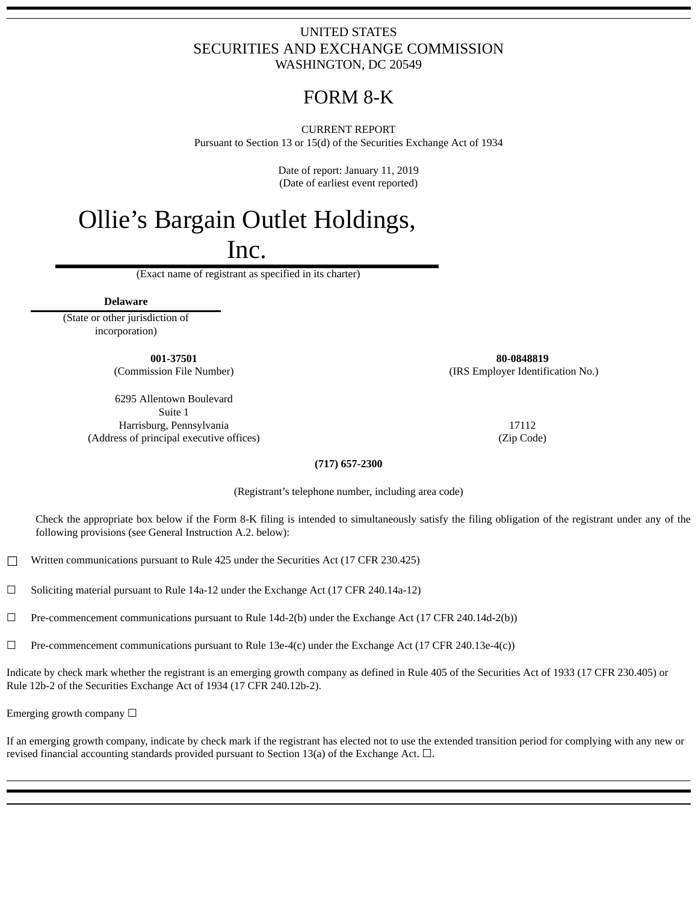# UNITED STATES SECURITIES AND EXCHANGE COMMISSION WASHINGTON, DC 20549

# FORM 8‑K

CURRENT REPORT Pursuant to Section 13 or 15(d) of the Securities Exchange Act of 1934

> Date of report: January 11, 2019 (Date of earliest event reported)

# Ollie's Bargain Outlet Holdings,

Inc.

(Exact name of registrant as specified in its charter)

**Delaware**

(State or other jurisdiction of incorporation)

6295 Allentown Boulevard Suite 1 Harrisburg, Pennsylvania 17112 (Address of principal executive offices) (Zip Code)

**001-37501 80-0848819** (Commission File Number) (IRS Employer Identification No.)

### **(717) 657-2300**

(Registrant's telephone number, including area code)

Check the appropriate box below if the Form 8-K filing is intended to simultaneously satisfy the filing obligation of the registrant under any of the following provisions (see General Instruction A.2. below):

☐ Written communications pursuant to Rule 425 under the Securities Act (17 CFR 230.425)

 $\Box$  Soliciting material pursuant to Rule 14a-12 under the Exchange Act (17 CFR 240.14a-12)

 $\Box$  Pre-commencement communications pursuant to Rule 14d-2(b) under the Exchange Act (17 CFR 240.14d-2(b))

 $\Box$  Pre-commencement communications pursuant to Rule 13e-4(c) under the Exchange Act (17 CFR 240.13e-4(c))

Indicate by check mark whether the registrant is an emerging growth company as defined in Rule 405 of the Securities Act of 1933 (17 CFR 230.405) or Rule 12b-2 of the Securities Exchange Act of 1934 (17 CFR 240.12b-2).

Emerging growth company  $\Box$ 

If an emerging growth company, indicate by check mark if the registrant has elected not to use the extended transition period for complying with any new or revised financial accounting standards provided pursuant to Section 13(a) of the Exchange Act.  $\square$ .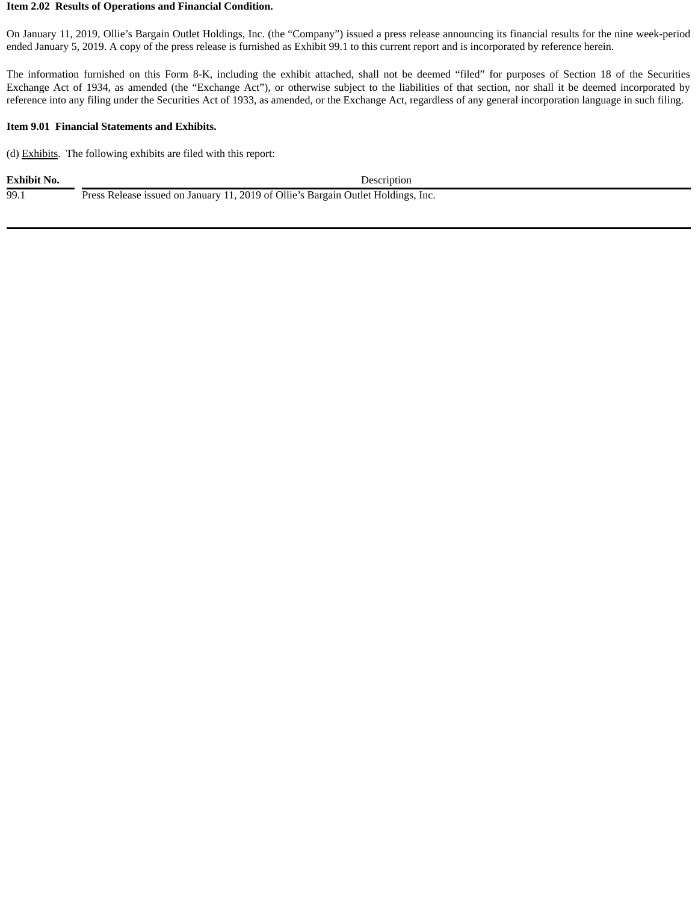#### **Item 2.02 Results of Operations and Financial Condition.**

On January 11, 2019, Ollie's Bargain Outlet Holdings, Inc. (the "Company") issued a press release announcing its financial results for the nine week-period ended January 5, 2019. A copy of the press release is furnished as Exhibit 99.1 to this current report and is incorporated by reference herein.

The information furnished on this Form 8-K, including the exhibit attached, shall not be deemed "filed" for purposes of Section 18 of the Securities Exchange Act of 1934, as amended (the "Exchange Act"), or otherwise subject to the liabilities of that section, nor shall it be deemed incorporated by reference into any filing under the Securities Act of 1933, as amended, or the Exchange Act, regardless of any general incorporation language in such filing.

### **Item 9.01 Financial Statements and Exhibits.**

(d) Exhibits. The following exhibits are filed with this report:

| <b>Exhibit No.</b> | Description                                                                       |
|--------------------|-----------------------------------------------------------------------------------|
| 99.1               | Press Release issued on January 11, 2019 of Ollie's Bargain Outlet Holdings, Inc. |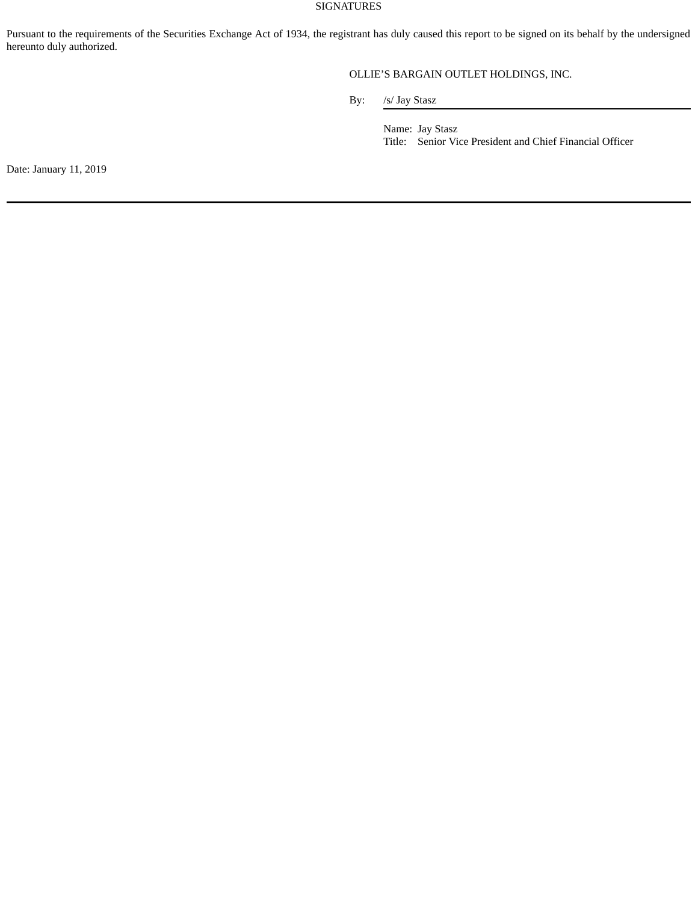### SIGNATURES

Pursuant to the requirements of the Securities Exchange Act of 1934, the registrant has duly caused this report to be signed on its behalf by the undersigned hereunto duly authorized.

# OLLIE'S BARGAIN OUTLET HOLDINGS, INC.

By: /s/ Jay Stasz

Name: Jay Stasz Title: Senior Vice President and Chief Financial Officer

Date: January 11, 2019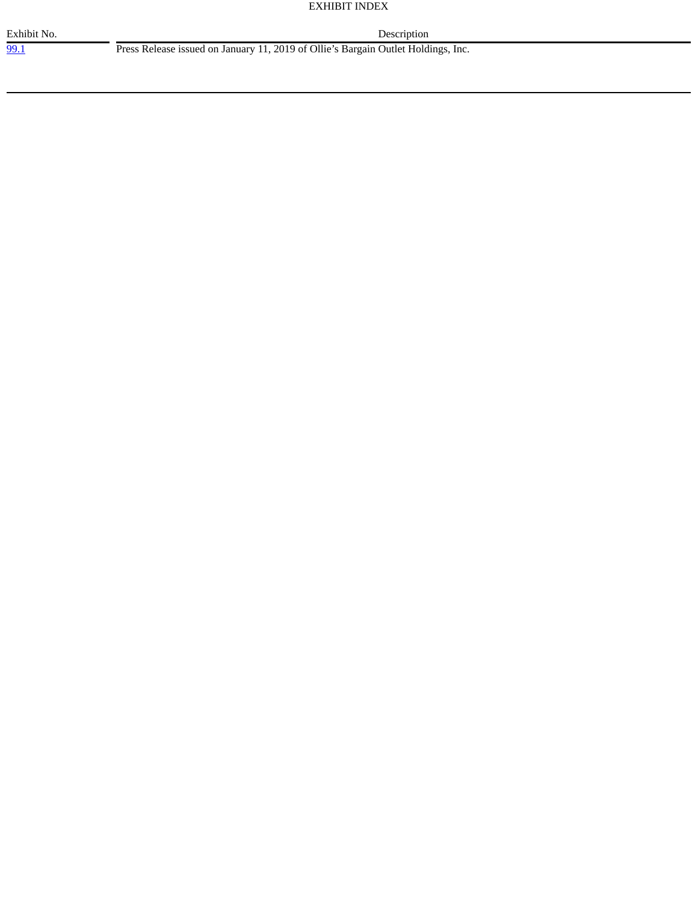#### EXHIBIT INDEX

99.1 Press Release issued on January 11, 2019 of Ollie's Bargain Outlet Holdings, Inc.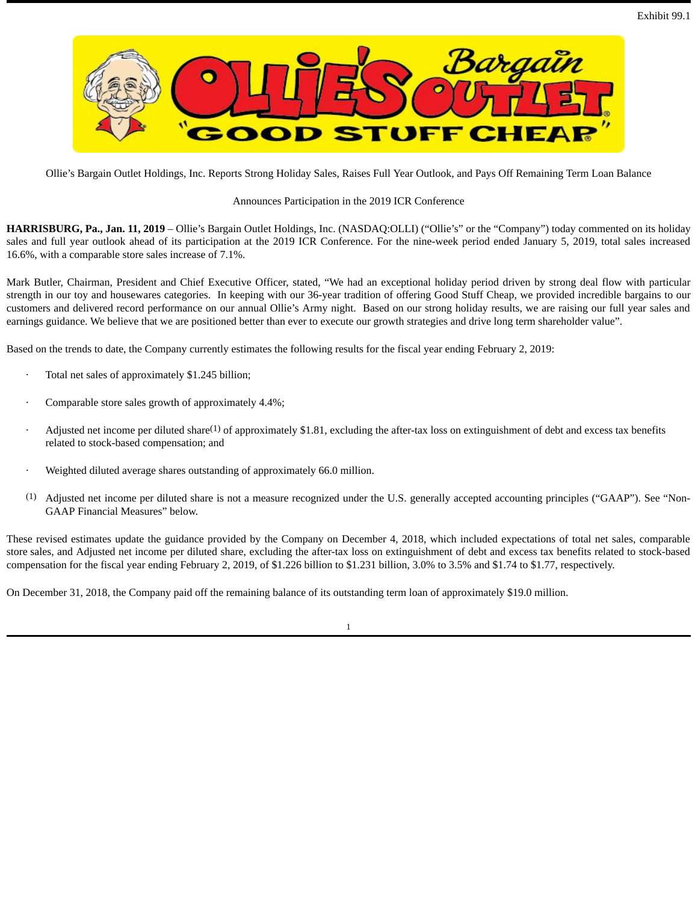

Ollie's Bargain Outlet Holdings, Inc. Reports Strong Holiday Sales, Raises Full Year Outlook, and Pays Off Remaining Term Loan Balance

## Announces Participation in the 2019 ICR Conference

**HARRISBURG, Pa., Jan. 11, 2019** – Ollie's Bargain Outlet Holdings, Inc. (NASDAQ:OLLI) ("Ollie's" or the "Company") today commented on its holiday sales and full year outlook ahead of its participation at the 2019 ICR Conference. For the nine-week period ended January 5, 2019, total sales increased 16.6%, with a comparable store sales increase of 7.1%.

Mark Butler, Chairman, President and Chief Executive Officer, stated, "We had an exceptional holiday period driven by strong deal flow with particular strength in our toy and housewares categories. In keeping with our 36-year tradition of offering Good Stuff Cheap, we provided incredible bargains to our customers and delivered record performance on our annual Ollie's Army night. Based on our strong holiday results, we are raising our full year sales and earnings guidance. We believe that we are positioned better than ever to execute our growth strategies and drive long term shareholder value".

Based on the trends to date, the Company currently estimates the following results for the fiscal year ending February 2, 2019:

- Total net sales of approximately \$1.245 billion;
- Comparable store sales growth of approximately 4.4%;
- $\cdot$  Adjusted net income per diluted share<sup>(1)</sup> of approximately \$1.81, excluding the after-tax loss on extinguishment of debt and excess tax benefits related to stock-based compensation; and
- · Weighted diluted average shares outstanding of approximately 66.0 million.
- $(1)$  Adjusted net income per diluted share is not a measure recognized under the U.S. generally accepted accounting principles ("GAAP"). See "Non-GAAP Financial Measures" below.

These revised estimates update the guidance provided by the Company on December 4, 2018, which included expectations of total net sales, comparable store sales, and Adjusted net income per diluted share, excluding the after-tax loss on extinguishment of debt and excess tax benefits related to stock-based compensation for the fiscal year ending February 2, 2019, of \$1.226 billion to \$1.231 billion, 3.0% to 3.5% and \$1.74 to \$1.77, respectively.

On December 31, 2018, the Company paid off the remaining balance of its outstanding term loan of approximately \$19.0 million.

1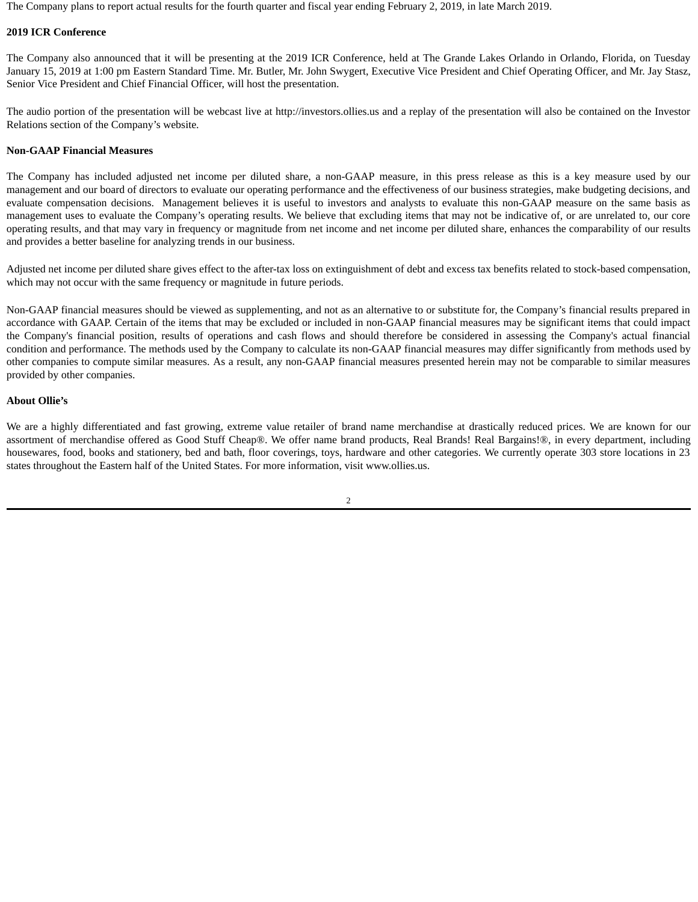The Company plans to report actual results for the fourth quarter and fiscal year ending February 2, 2019, in late March 2019.

#### **2019 ICR Conference**

The Company also announced that it will be presenting at the 2019 ICR Conference, held at The Grande Lakes Orlando in Orlando, Florida, on Tuesday January 15, 2019 at 1:00 pm Eastern Standard Time. Mr. Butler, Mr. John Swygert, Executive Vice President and Chief Operating Officer, and Mr. Jay Stasz, Senior Vice President and Chief Financial Officer, will host the presentation.

The audio portion of the presentation will be webcast live at http://investors.ollies.us and a replay of the presentation will also be contained on the Investor Relations section of the Company's website.

#### **Non-GAAP Financial Measures**

The Company has included adjusted net income per diluted share, a non-GAAP measure, in this press release as this is a key measure used by our management and our board of directors to evaluate our operating performance and the effectiveness of our business strategies, make budgeting decisions, and evaluate compensation decisions. Management believes it is useful to investors and analysts to evaluate this non-GAAP measure on the same basis as management uses to evaluate the Company's operating results. We believe that excluding items that may not be indicative of, or are unrelated to, our core operating results, and that may vary in frequency or magnitude from net income and net income per diluted share, enhances the comparability of our results and provides a better baseline for analyzing trends in our business.

Adjusted net income per diluted share gives effect to the after-tax loss on extinguishment of debt and excess tax benefits related to stock-based compensation, which may not occur with the same frequency or magnitude in future periods.

Non-GAAP financial measures should be viewed as supplementing, and not as an alternative to or substitute for, the Company's financial results prepared in accordance with GAAP. Certain of the items that may be excluded or included in non-GAAP financial measures may be significant items that could impact the Company's financial position, results of operations and cash flows and should therefore be considered in assessing the Company's actual financial condition and performance. The methods used by the Company to calculate its non-GAAP financial measures may differ significantly from methods used by other companies to compute similar measures. As a result, any non-GAAP financial measures presented herein may not be comparable to similar measures provided by other companies.

#### **About Ollie's**

We are a highly differentiated and fast growing, extreme value retailer of brand name merchandise at drastically reduced prices. We are known for our assortment of merchandise offered as Good Stuff Cheap®. We offer name brand products, Real Brands! Real Bargains!®, in every department, including housewares, food, books and stationery, bed and bath, floor coverings, toys, hardware and other categories. We currently operate 303 store locations in 23 states throughout the Eastern half of the United States. For more information, visit www.ollies.us.